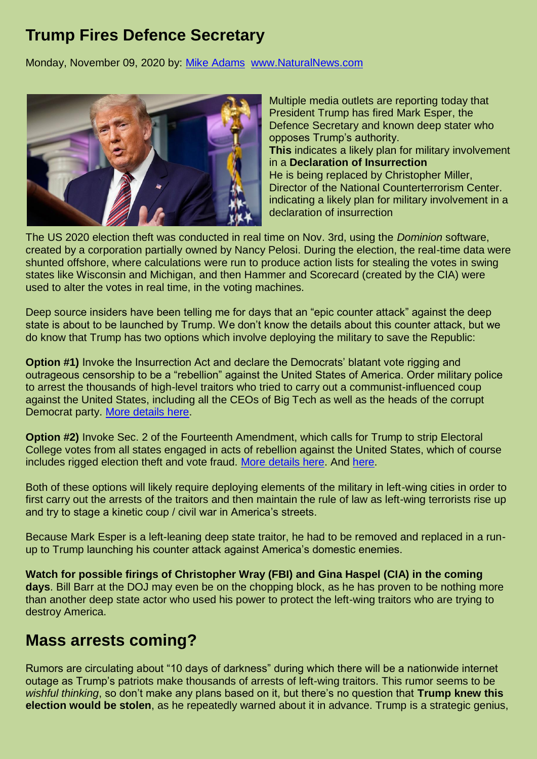## **Trump Fires Defence Secretary**

Monday, November 09, 2020 by: [Mike Adams](https://www.naturalnews.com/author/healthranger) [www.NaturalNews.com](http://www.naturalnews.com/)



Multiple media outlets are reporting today that President Trump has fired Mark Esper, the Defence Secretary and known deep stater who opposes Trump's authority. **This** indicates a likely plan for military involvement in a **Declaration of Insurrection** He is being replaced by Christopher Miller, Director of the National Counterterrorism Center. indicating a likely plan for military involvement in a declaration of insurrection

The US 2020 election theft was conducted in real time on Nov. 3rd, using the *Dominion* software, created by a corporation partially owned by Nancy Pelosi. During the election, the real-time data were shunted offshore, where calculations were run to produce action lists for stealing the votes in swing states like Wisconsin and Michigan, and then Hammer and Scorecard (created by the CIA) were used to alter the votes in real time, in the voting machines.

Deep source insiders have been telling me for days that an "epic counter attack" against the deep state is about to be launched by Trump. We don't know the details about this counter attack, but we do know that Trump has two options which involve deploying the military to save the Republic:

**Option #1)** Invoke the Insurrection Act and declare the Democrats' blatant vote rigging and outrageous censorship to be a "rebellion" against the United States of America. Order military police to arrest the thousands of high-level traitors who tried to carry out a communist-influenced coup against the United States, including all the CEOs of Big Tech as well as the heads of the corrupt Democrat party. [More details here.](https://www.naturalnews.com/2020-09-12-president-trump-put-down-election-day-rioting-insurrection.html)

**Option #2)** Invoke Sec. 2 of the Fourteenth Amendment, which calls for Trump to strip Electoral College votes from all states engaged in acts of rebellion against the United States, which of course includes rigged election theft and vote fraud. [More details here.](https://www.naturalnews.com/2020-11-05-trump-may-invoke-the-fourteenth-amendment-to-strip-electoral-college-votes-from-states.html) And [here.](https://www.naturalnews.com/2020-09-06-fourteenth-amendment-trumps-secret-weapon-electoral-college-mass-arrests.html)

Both of these options will likely require deploying elements of the military in left-wing cities in order to first carry out the arrests of the traitors and then maintain the rule of law as left-wing terrorists rise up and try to stage a kinetic coup / civil war in America's streets.

Because Mark Esper is a left-leaning deep state traitor, he had to be removed and replaced in a runup to Trump launching his counter attack against America's domestic enemies.

**Watch for possible firings of Christopher Wray (FBI) and Gina Haspel (CIA) in the coming days**. Bill Barr at the DOJ may even be on the chopping block, as he has proven to be nothing more than another deep state actor who used his power to protect the left-wing traitors who are trying to destroy America.

## **Mass arrests coming?**

Rumors are circulating about "10 days of darkness" during which there will be a nationwide internet outage as Trump's patriots make thousands of arrests of left-wing traitors. This rumor seems to be *wishful thinking*, so don't make any plans based on it, but there's no question that **Trump knew this election would be stolen**, as he repeatedly warned about it in advance. Trump is a strategic genius,